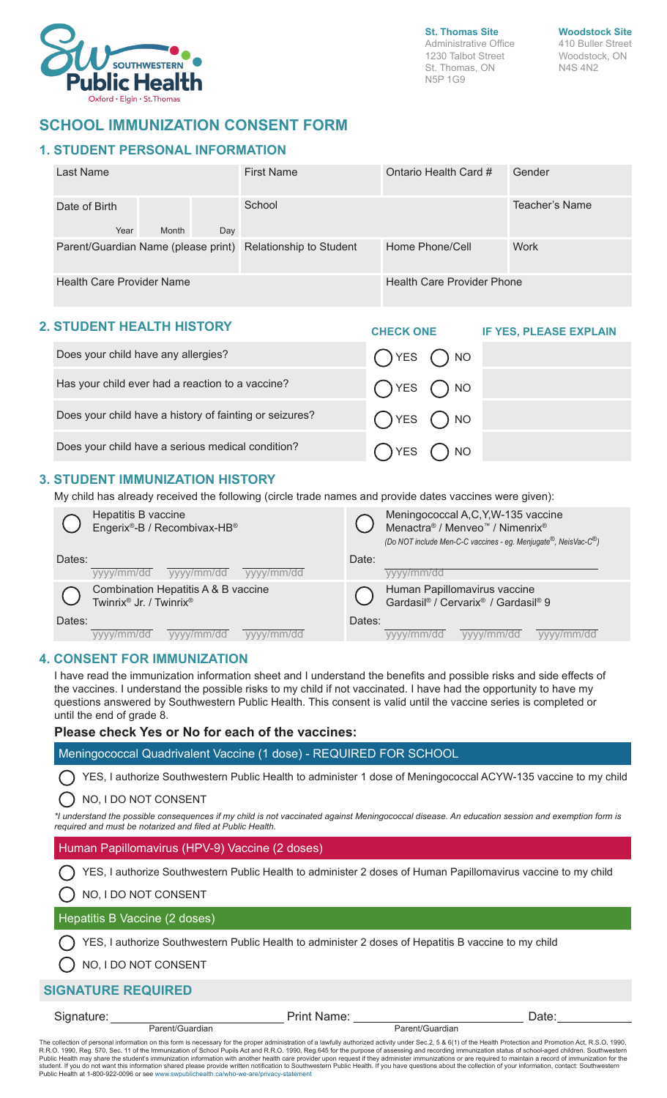

**St. Thomas Site** Administrative Office 1230 Talbot Street St. Thomas, ON N5P 1G9

**Woodstock Site** 410 Buller Street

Woodstock, ON N4S 4N2

## **SCHOOL IMMUNIZATION CONSENT FORM**

## **1. STUDENT PERSONAL INFORMATION**

| Last Name                                                   | <b>First Name</b><br>Ontario Health Card # |                 | Gender         |  |
|-------------------------------------------------------------|--------------------------------------------|-----------------|----------------|--|
| Date of Birth<br>Year<br>Month<br>Day                       | School                                     |                 | Teacher's Name |  |
| Parent/Guardian Name (please print) Relationship to Student |                                            | Home Phone/Cell | <b>Work</b>    |  |
| <b>Health Care Provider Name</b>                            | <b>Health Care Provider Phone</b>          |                 |                |  |

### **2. STUDENT HEALTH HISTORY**

| . STUDENT HEALTH HISTURT                                | <b>CHECK ONE</b>           | <b>IF YES, PLEASE EXPLAIN</b> |
|---------------------------------------------------------|----------------------------|-------------------------------|
| Does your child have any allergies?                     | $OYES$ $ONO$               |                               |
| Has your child ever had a reaction to a vaccine?        | $OYES$ $ONO$               |                               |
| Does your child have a history of fainting or seizures? | $OYES$ $ONO$               |                               |
| Does your child have a serious medical condition?       | $\bigcup$ YES $\bigcup$ NO |                               |

## **3. STUDENT IMMUNIZATION HISTORY**

My child has already received the following (circle trade names and provide dates vaccines were given):

|        | Hepatitis B vaccine<br>Engerix®-B / Recombivax-HB®             |        | Meningococcal A,C,Y,W-135 vaccine<br>Menactra® / Menveo™ / Nimenrix®<br>(Do NOT include Men-C-C vaccines - eg. Menjugate <sup>®</sup> , NeisVac-C <sup>®</sup> ) |  |  |  |
|--------|----------------------------------------------------------------|--------|------------------------------------------------------------------------------------------------------------------------------------------------------------------|--|--|--|
| Dates: | vyyy/mm/dd<br>vyyy/mm/dd<br>yyyy/mm/dd                         | Date:  | mm/dd                                                                                                                                                            |  |  |  |
|        | Combination Hepatitis A & B vaccine<br>Twinrix® Jr. / Twinrix® |        | Human Papillomavirus vaccine<br>Gardasil® / Cervarix® / Gardasil® 9                                                                                              |  |  |  |
| Dates: |                                                                | Dates: |                                                                                                                                                                  |  |  |  |
|        | $\eta$ mm/dd<br>/mm/dd<br>mm/dd                                |        | v/mm/dd<br>//mm/dd<br>mm/dd                                                                                                                                      |  |  |  |

### **4. CONSENT FOR IMMUNIZATION**

I have read the immunization information sheet and I understand the benefits and possible risks and side effects of the vaccines. I understand the possible risks to my child if not vaccinated. I have had the opportunity to have my questions answered by Southwestern Public Health. This consent is valid until the vaccine series is completed or until the end of grade 8.

#### **Please check Yes or No for each of the vaccines:**

Meningococcal Quadrivalent Vaccine (1 dose) - REQUIRED FOR SCHOOL

YES, I authorize Southwestern Public Health to administer 1 dose of Meningococcal ACYW-135 vaccine to my child

#### NO, I DO NOT CONSENT

*\*I understand the possible consequences if my child is not vaccinated against Meningococcal disease. An education session and exemption form is required and must be notarized and filed at Public Health.*

#### Human Papillomavirus (HPV-9) Vaccine (2 doses)

Parent/Guardian

YES, I authorize Southwestern Public Health to administer 2 doses of Human Papillomavirus vaccine to my child

#### NO, I DO NOT CONSENT

#### Hepatitis B Vaccine (2 doses)

 $\bigcap$  YES, I authorize Southwestern Public Health to administer 2 doses of Hepatitis B vaccine to my child

() NO, I DO NOT CONSENT

### **SIGNATURE REQUIRED**

Signature: <u>Name:</u> Print Name: Print Name: Parent/Guardian Date:

The collection of personal information on this form is necessary for the proper administration of a lawfully authorized activity under Sec.2, 5 & 6(1) of the Health Protection and Promotion Act, R.S.O. 1990,<br>R.R.O. 1990, R Public Health at 1-800-922-0096 or see www.swpublichealth.ca/who-we-are/privacy-statement